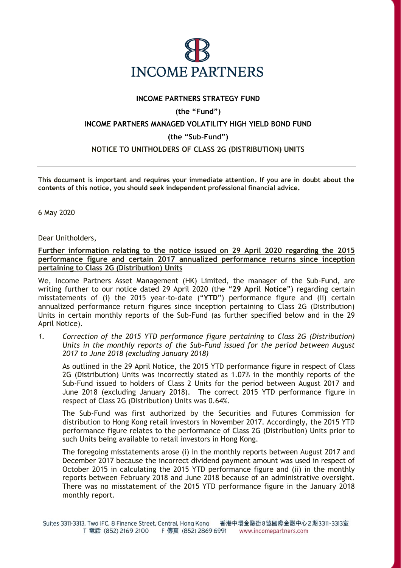

## **INCOME PARTNERS STRATEGY FUND**

# **(the "Fund")**

## **INCOME PARTNERS MANAGED VOLATILITY HIGH YIELD BOND FUND**

#### **(the "Sub-Fund")**

#### **NOTICE TO UNITHOLDERS OF CLASS 2G (DISTRIBUTION) UNITS**

**This document is important and requires your immediate attention. If you are in doubt about the contents of this notice, you should seek independent professional financial advice.**

6 May 2020

Dear Unitholders,

**Further information relating to the notice issued on 29 April 2020 regarding the 2015 performance figure and certain 2017 annualized performance returns since inception pertaining to Class 2G (Distribution) Units** 

We, Income Partners Asset Management (HK) Limited, the manager of the Sub-Fund, are writing further to our notice dated 29 April 2020 (the "**29 April Notice**") regarding certain misstatements of (i) the 2015 year-to-date ("**YTD**") performance figure and (ii) certain annualized performance return figures since inception pertaining to Class 2G (Distribution) Units in certain monthly reports of the Sub-Fund (as further specified below and in the 29 April Notice).

*1. Correction of the 2015 YTD performance figure pertaining to Class 2G (Distribution) Units in the monthly reports of the Sub-Fund issued for the period between August 2017 to June 2018 (excluding January 2018)* 

As outlined in the 29 April Notice, the 2015 YTD performance figure in respect of Class 2G (Distribution) Units was incorrectly stated as 1.07% in the monthly reports of the Sub-Fund issued to holders of Class 2 Units for the period between August 2017 and June 2018 (excluding January 2018). The correct 2015 YTD performance figure in respect of Class 2G (Distribution) Units was 0.64%.

The Sub-Fund was first authorized by the Securities and Futures Commission for distribution to Hong Kong retail investors in November 2017. Accordingly, the 2015 YTD performance figure relates to the performance of Class 2G (Distribution) Units prior to such Units being available to retail investors in Hong Kong.

The foregoing misstatements arose (i) in the monthly reports between August 2017 and December 2017 because the incorrect dividend payment amount was used in respect of October 2015 in calculating the 2015 YTD performance figure and (ii) in the monthly reports between February 2018 and June 2018 because of an administrative oversight. There was no misstatement of the 2015 YTD performance figure in the January 2018 monthly report.